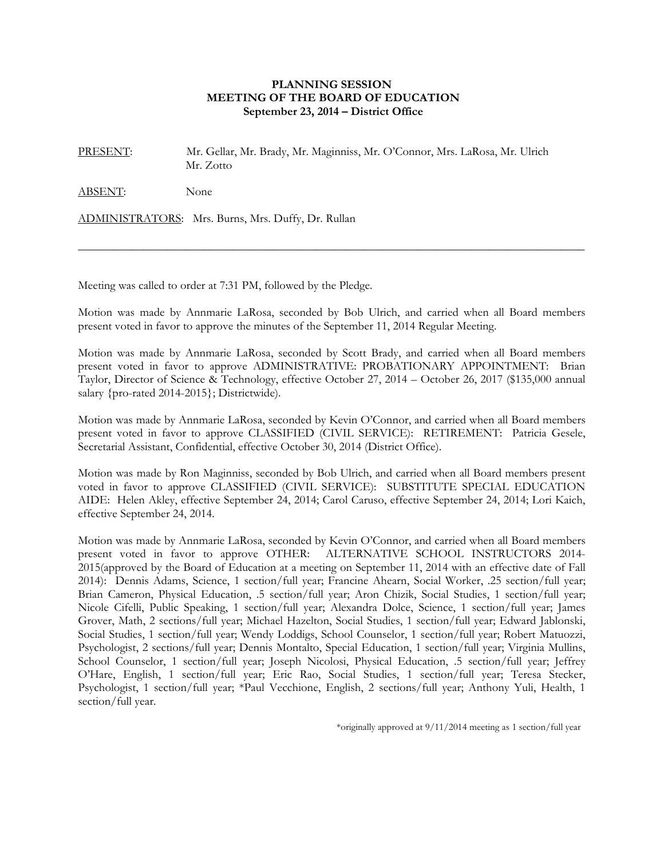## **PLANNING SESSION MEETING OF THE BOARD OF EDUCATION September 23, 2014 – District Office**

PRESENT: Mr. Gellar, Mr. Brady, Mr. Maginniss, Mr. O'Connor, Mrs. LaRosa, Mr. Ulrich Mr. Zotto

ABSENT: None

ADMINISTRATORS: Mrs. Burns, Mrs. Duffy, Dr. Rullan

Meeting was called to order at 7:31 PM, followed by the Pledge.

Motion was made by Annmarie LaRosa, seconded by Bob Ulrich, and carried when all Board members present voted in favor to approve the minutes of the September 11, 2014 Regular Meeting.

 $\_$  , and the set of the set of the set of the set of the set of the set of the set of the set of the set of the set of the set of the set of the set of the set of the set of the set of the set of the set of the set of th

Motion was made by Annmarie LaRosa, seconded by Scott Brady, and carried when all Board members present voted in favor to approve ADMINISTRATIVE: PROBATIONARY APPOINTMENT: Brian Taylor, Director of Science & Technology, effective October 27, 2014 – October 26, 2017 (\$135,000 annual salary {pro-rated 2014-2015}; Districtwide).

Motion was made by Annmarie LaRosa, seconded by Kevin O'Connor, and carried when all Board members present voted in favor to approve CLASSIFIED (CIVIL SERVICE): RETIREMENT: Patricia Gesele, Secretarial Assistant, Confidential, effective October 30, 2014 (District Office).

Motion was made by Ron Maginniss, seconded by Bob Ulrich, and carried when all Board members present voted in favor to approve CLASSIFIED (CIVIL SERVICE): SUBSTITUTE SPECIAL EDUCATION AIDE: Helen Akley, effective September 24, 2014; Carol Caruso, effective September 24, 2014; Lori Kaich, effective September 24, 2014.

Motion was made by Annmarie LaRosa, seconded by Kevin O'Connor, and carried when all Board members present voted in favor to approve OTHER: ALTERNATIVE SCHOOL INSTRUCTORS 2014- 2015(approved by the Board of Education at a meeting on September 11, 2014 with an effective date of Fall 2014): Dennis Adams, Science, 1 section/full year; Francine Ahearn, Social Worker, .25 section/full year; Brian Cameron, Physical Education, .5 section/full year; Aron Chizik, Social Studies, 1 section/full year; Nicole Cifelli, Public Speaking, 1 section/full year; Alexandra Dolce, Science, 1 section/full year; James Grover, Math, 2 sections/full year; Michael Hazelton, Social Studies, 1 section/full year; Edward Jablonski, Social Studies, 1 section/full year; Wendy Loddigs, School Counselor, 1 section/full year; Robert Matuozzi, Psychologist, 2 sections/full year; Dennis Montalto, Special Education, 1 section/full year; Virginia Mullins, School Counselor, 1 section/full year; Joseph Nicolosi, Physical Education, .5 section/full year; Jeffrey O'Hare, English, 1 section/full year; Eric Rao, Social Studies, 1 section/full year; Teresa Stecker, Psychologist, 1 section/full year; \*Paul Vecchione, English, 2 sections/full year; Anthony Yuli, Health, 1 section/full year.

\*originally approved at 9/11/2014 meeting as 1 section/full year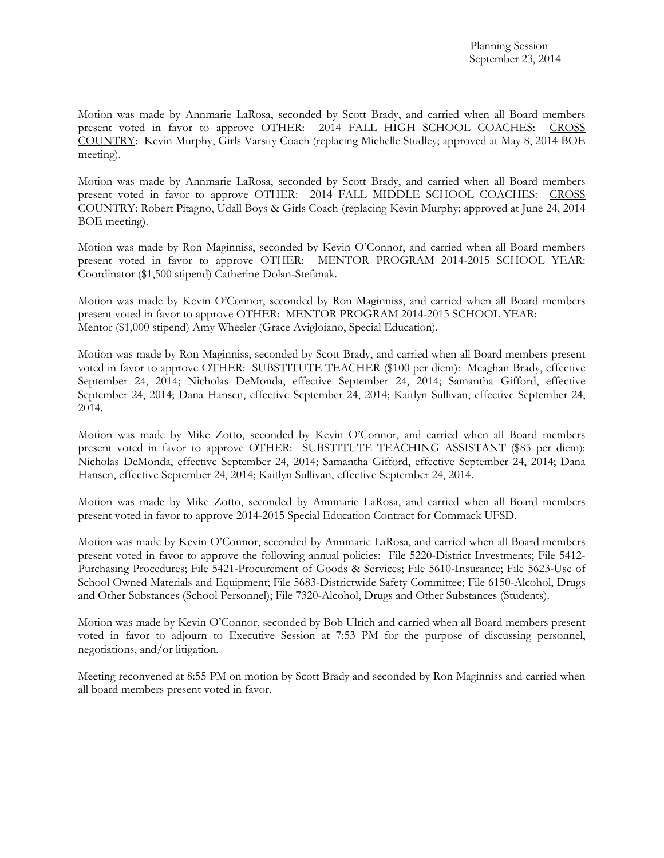Motion was made by Annmarie LaRosa, seconded by Scott Brady, and carried when all Board members present voted in favor to approve OTHER: 2014 FALL HIGH SCHOOL COACHES: CROSS COUNTRY: Kevin Murphy, Girls Varsity Coach (replacing Michelle Studley; approved at May 8, 2014 BOE meeting).

Motion was made by Annmarie LaRosa, seconded by Scott Brady, and carried when all Board members present voted in favor to approve OTHER: 2014 FALL MIDDLE SCHOOL COACHES: CROSS COUNTRY: Robert Pitagno, Udall Boys & Girls Coach (replacing Kevin Murphy; approved at June 24, 2014 BOE meeting).

Motion was made by Ron Maginniss, seconded by Kevin O'Connor, and carried when all Board members present voted in favor to approve OTHER: MENTOR PROGRAM 2014-2015 SCHOOL YEAR: Coordinator (\$1,500 stipend) Catherine Dolan-Stefanak.

Motion was made by Kevin O'Connor, seconded by Ron Maginniss, and carried when all Board members present voted in favor to approve OTHER: MENTOR PROGRAM 2014-2015 SCHOOL YEAR: Mentor (\$1,000 stipend) Amy Wheeler (Grace Avigloiano, Special Education).

Motion was made by Ron Maginniss, seconded by Scott Brady, and carried when all Board members present voted in favor to approve OTHER: SUBSTITUTE TEACHER (\$100 per diem): Meaghan Brady, effective September 24, 2014; Nicholas DeMonda, effective September 24, 2014; Samantha Gifford, effective September 24, 2014; Dana Hansen, effective September 24, 2014; Kaitlyn Sullivan, effective September 24, 2014.

Motion was made by Mike Zotto, seconded by Kevin O'Connor, and carried when all Board members present voted in favor to approve OTHER: SUBSTITUTE TEACHING ASSISTANT (\$85 per diem): Nicholas DeMonda, effective September 24, 2014; Samantha Gifford, effective September 24, 2014; Dana Hansen, effective September 24, 2014; Kaitlyn Sullivan, effective September 24, 2014.

Motion was made by Mike Zotto, seconded by Annmarie LaRosa, and carried when all Board members present voted in favor to approve 2014-2015 Special Education Contract for Commack UFSD.

Motion was made by Kevin O'Connor, seconded by Annmarie LaRosa, and carried when all Board members present voted in favor to approve the following annual policies: File 5220-District Investments; File 5412- Purchasing Procedures; File 5421-Procurement of Goods & Services; File 5610-Insurance; File 5623-Use of School Owned Materials and Equipment; File 5683-Districtwide Safety Committee; File 6150-Alcohol, Drugs and Other Substances (School Personnel); File 7320-Alcohol, Drugs and Other Substances (Students).

Motion was made by Kevin O'Connor, seconded by Bob Ulrich and carried when all Board members present voted in favor to adjourn to Executive Session at 7:53 PM for the purpose of discussing personnel, negotiations, and/or litigation.

Meeting reconvened at 8:55 PM on motion by Scott Brady and seconded by Ron Maginniss and carried when all board members present voted in favor.